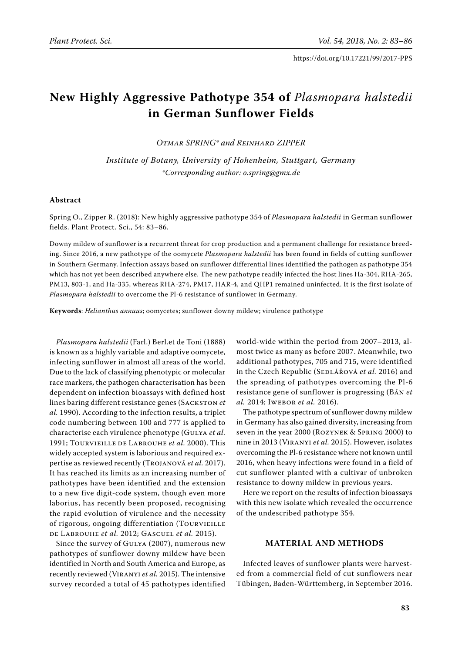# **New Highly Aggressive Pathotype 354 of** *Plasmopara halstedii* **in German Sunflower Fields**

*Otmar Spring\* and Reinhard Zipper*

*Institute of Botany, University of Hohenheim, Stuttgart, Germany \*Corresponding author: o.spring@gmx.de*

### **Abstract**

Spring O., Zipper R. (2018): New highly aggressive pathotype 354 of *Plasmopara halstedii* in German sunflower fields. Plant Protect. Sci., 54: 83–86.

Downy mildew of sunflower is a recurrent threat for crop production and a permanent challenge for resistance breeding. Since 2016, a new pathotype of the oomycete *Plasmopara halstedii* has been found in fields of cutting sunflower in Southern Germany. Infection assays based on sunflower differential lines identified the pathogen as pathotype 354 which has not yet been described anywhere else. The new pathotype readily infected the host lines Ha-304, RHA-265, PM13, 803-1, and Ha-335, whereas RHA-274, PM17, HAR-4, and QHP1 remained uninfected. It is the first isolate of *Plasmopara halstedii* to overcome the Pl-6 resistance of sunflower in Germany.

**Keywords**: *Helianthus annuus*; oomycetes; sunflower downy mildew; virulence pathotype

*Plasmopara halstedii* (Farl.) Berl.et de Toni (1888) is known as a highly variable and adaptive oomycete, infecting sunflower in almost all areas of the world. Due to the lack of classifying phenotypic or molecular race markers, the pathogen characterisation has been dependent on infection bioassays with defined host lines baring different resistance genes (SACKSTON et *al.* 1990). According to the infection results, a triplet code numbering between 100 and 777 is applied to characterise each virulence phenotype (Gulya *et al.* 1991; Tourvieille de Labrouhe *et al.* 2000). This widely accepted system is laborious and required expertise as reviewed recently (Trojanová *et al.* 2017). It has reached its limits as an increasing number of pathotypes have been identified and the extension to a new five digit-code system, though even more laborius, has recently been proposed, recognising the rapid evolution of virulence and the necessity of rigorous, ongoing differentiation (TOURVIEILLE de Labrouhe *et al.* 2012; Gascuel *et al.* 2015).

Since the survey of GULYA (2007), numerous new pathotypes of sunflower downy mildew have been identified in North and South America and Europe, as recently reviewed (Viranyi *et al.* 2015). The intensive survey recorded a total of 45 pathotypes identified world-wide within the period from 2007–2013, almost twice as many as before 2007. Meanwhile, two additional pathotypes, 705 and 715, were identified in the Czech Republic (SEDLÁŘOVÁ et al. 2016) and the spreading of pathotypes overcoming the Pl-6 resistance gene of sunflower is progressing (Bán *et al.* 2014; Iwebor *et al.* 2016).

The pathotype spectrum of sunflower downy mildew in Germany has also gained diversity, increasing from seven in the year 2000 (Rozynek & Spring 2000) to nine in 2013 (Viranyi *et al.* 2015). However, isolates overcoming the Pl-6 resistance where not known until 2016, when heavy infections were found in a field of cut sunflower planted with a cultivar of unbroken resistance to downy mildew in previous years.

Here we report on the results of infection bioassays with this new isolate which revealed the occurrence of the undescribed pathotype 354.

## **Material and methods**

Infected leaves of sunflower plants were harvested from a commercial field of cut sunflowers near Tübingen, Baden-Württemberg, in September 2016.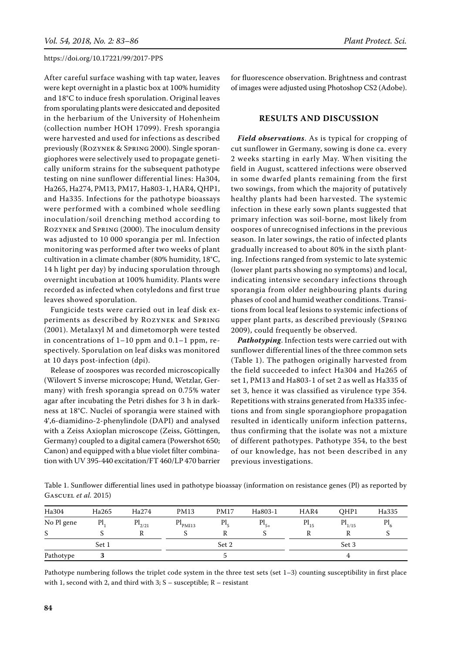After careful surface washing with tap water, leaves were kept overnight in a plastic box at 100% humidity and 18°C to induce fresh sporulation. Original leaves from sporulating plants were desiccated and deposited in the herbarium of the University of Hohenheim (collection number HOH 17099). Fresh sporangia were harvested and used for infections as described previously (Rozynek & Spring 2000). Single sporangiophores were selectively used to propagate genetically uniform strains for the subsequent pathotype testing on nine sunflower differential lines: Ha304, Ha265, Ha274, PM13, PM17, Ha803-1, HAR4, QHP1, and Ha335. Infections for the pathotype bioassays were performed with a combined whole seedling inoculation/soil drenching method according to Rozynek and Spring (2000). The inoculum density was adjusted to 10 000 sporangia per ml. Infection monitoring was performed after two weeks of plant cultivation in a climate chamber (80% humidity, 18°C, 14 h light per day) by inducing sporulation through overnight incubation at 100% humidity. Plants were recorded as infected when cotyledons and first true leaves showed sporulation.

Fungicide tests were carried out in leaf disk experiments as described by Rozynek and Spring (2001). Metalaxyl M and dimetomorph were tested in concentrations of 1–10 ppm and 0.1–1 ppm, respectively. Sporulation on leaf disks was monitored at 10 days post-infection (dpi).

Release of zoospores was recorded microscopically (Wilovert S inverse microscope; Hund, Wetzlar, Germany) with fresh sporangia spread on 0.75% water agar after incubating the Petri dishes for 3 h in darkness at 18°C. Nuclei of sporangia were stained with 4',6-diamidino-2-phenylindole (DAPI) and analysed with a Zeiss Axioplan microscope (Zeiss, Göttingen, Germany) coupled to a digital camera (Powershot 650; Canon) and equipped with a blue violet filter combination with UV 395-440 excitation/FT 460/LP 470 barrier for fluorescence observation. Brightness and contrast of images were adjusted using Photoshop CS2 (Adobe).

### **Results and discussion**

*Field observations*. As is typical for cropping of cut sunflower in Germany, sowing is done ca. every 2 weeks starting in early May. When visiting the field in August, scattered infections were observed in some dwarfed plants remaining from the first two sowings, from which the majority of putatively healthy plants had been harvested. The systemic infection in these early sown plants suggested that primary infection was soil-borne, most likely from oospores of unrecognised infections in the previous season. In later sowings, the ratio of infected plants gradually increased to about 80% in the sixth planting. Infections ranged from systemic to late systemic (lower plant parts showing no symptoms) and local, indicating intensive secondary infections through sporangia from older neighbouring plants during phases of cool and humid weather conditions. Transitions from local leaf lesions to systemic infections of upper plant parts, as described previously (Spring 2009), could frequently be observed.

*Pathotyping*. Infection tests were carried out with sunflower differential lines of the three common sets (Table 1). The pathogen originally harvested from the field succeeded to infect Ha304 and Ha265 of set 1, PM13 and Ha803-1 of set 2 as well as Ha335 of set 3, hence it was classified as virulence type 354. Repetitions with strains generated from Ha335 infections and from single sporangiophore propagation resulted in identically uniform infection patterns, thus confirming that the isolate was not a mixture of different pathotypes. Pathotype 354, to the best of our knowledge, has not been described in any previous investigations.

Table 1. Sunflower differential lines used in pathotype bioassay (information on resistance genes (Pl) as reported by Gascuel *et al.* 2015)

| Ha304      | Ha265 | Ha274       | <b>PM13</b>                | <b>PM17</b> | Ha803-1   | HAR4      | OHP1        | Ha335 |
|------------|-------|-------------|----------------------------|-------------|-----------|-----------|-------------|-------|
| No Pl gene | Pl,   | $Pl_{2/21}$ | $\text{Pl}_{\text{PMI13}}$ | Pl,         | $Pl_{5+}$ | $Pl_{15}$ | $Pl_{1/15}$ | Pl    |
| S          |       |             |                            |             |           |           |             |       |
|            | Set 1 |             | Set 2                      |             |           | Set 3     |             |       |
| Pathotype  |       |             |                            |             |           | 4         |             |       |

Pathotype numbering follows the triplet code system in the three test sets (set 1–3) counting susceptibility in first place with 1, second with 2, and third with 3;  $S -$  susceptible;  $R -$  resistant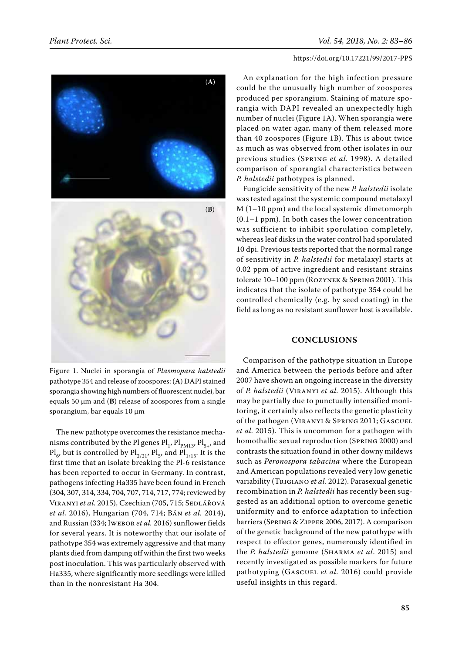

Figure 1. Nuclei in sporangia of *Plasmopara halstedii* pathotype 354 and release of zoospores: (**A**) DAPI stained sporangia showing high numbers of fluorescent nuclei, bar equals 50 µm and (**B**) release of zoospores from a single sporangium, bar equals 10 µm

The new pathotype overcomes the resistance mechanisms contributed by the Pl genes  $\text{Pl}_1$ ,  $\text{Pl}_{\text{PM13}}$ ,  $\text{Pl}_{5+}$ , and  $\text{Pl}_{6}$ , but is controlled by  $\text{Pl}_{2/21}$ ,  $\text{Pl}_{5}$ , and  $\text{Pl}_{1/15}$ . It is the first time that an isolate breaking the Pl-6 resistance has been reported to occur in Germany. In contrast, pathogens infecting Ha335 have been found in French (304, 307, 314, 334, 704, 707, 714, 717, 774; reviewed by VIRANYI et al. 2015), Czechian (705, 715; SEDLÁŘOVÁ *et al.* 2016), Hungarian (704, 714; Bán *et al.* 2014), and Russian (334; Iwebor *et al.* 2016) sunflower fields for several years. It is noteworthy that our isolate of pathotype 354 was extremely aggressive and that many plants died from damping off within the first two weeks post inoculation. This was particularly observed with Ha335, where significantly more seedlings were killed than in the nonresistant Ha 304.

An explanation for the high infection pressure could be the unusually high number of zoospores produced per sporangium. Staining of mature sporangia with DAPI revealed an unexpectedly high number of nuclei (Figure 1A). When sporangia were placed on water agar, many of them released more than 40 zoospores (Figure 1B). This is about twice as much as was observed from other isolates in our previous studies (Spring *et al.* 1998). A detailed comparison of sporangial characteristics between *P. halstedii* pathotypes is planned.

Fungicide sensitivity of the new *P. halstedii* isolate was tested against the systemic compound metalaxyl M (1–10 ppm) and the local systemic dimetomorph (0.1–1 ppm). In both cases the lower concentration was sufficient to inhibit sporulation completely, whereas leaf disks in the water control had sporulated 10 dpi. Previous tests reported that the normal range of sensitivity in *P. halstedii* for metalaxyl starts at 0.02 ppm of active ingredient and resistant strains tolerate 10–100 ppm (Rozynek & Spring 2001). This indicates that the isolate of pathotype 354 could be controlled chemically (e.g. by seed coating) in the field as long as no resistant sunflower host is available.

#### **Conclusions**

Comparison of the pathotype situation in Europe and America between the periods before and after 2007 have shown an ongoing increase in the diversity of *P. halstedii* (Viranyi *et al.* 2015). Although this may be partially due to punctually intensified monitoring, it certainly also reflects the genetic plasticity of the pathogen (Viranyi & Spring 2011; Gascuel *et al.* 2015). This is uncommon for a pathogen with homothallic sexual reproduction (Spring 2000) and contrasts the situation found in other downy mildews such as *Peronospora tabacina* where the European and American populations revealed very low genetic variability (Trigiano *et al.* 2012). Parasexual genetic recombination in *P. halstedii* has recently been suggested as an additional option to overcome genetic uniformity and to enforce adaptation to infection barriers (Spring & Zipper 2006, 2017). A comparison of the genetic background of the new patothype with respect to effector genes, numerously identified in the *P. halstedii* genome (Sharma *et al*. 2015) and recently investigated as possible markers for future pathotyping (GASCUEL et al. 2016) could provide useful insights in this regard.